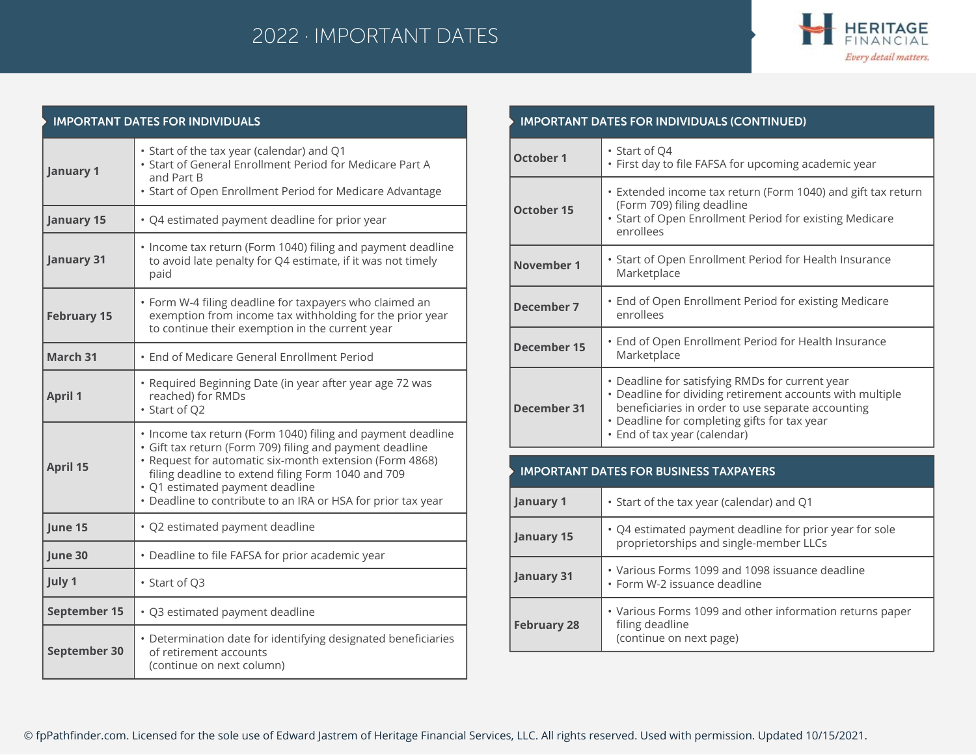## 2022 · IMPORTANT DATES



| <b>IMPORTANT DATES FOR INDIVIDUALS</b> |                                                                                                                                                                                                                                                                                                                                             |  |
|----------------------------------------|---------------------------------------------------------------------------------------------------------------------------------------------------------------------------------------------------------------------------------------------------------------------------------------------------------------------------------------------|--|
| <b>January 1</b>                       | • Start of the tax year (calendar) and Q1<br>• Start of General Enrollment Period for Medicare Part A<br>and Part B<br>• Start of Open Enrollment Period for Medicare Advantage                                                                                                                                                             |  |
| January 15                             | • Q4 estimated payment deadline for prior year                                                                                                                                                                                                                                                                                              |  |
| January 31                             | • Income tax return (Form 1040) filing and payment deadline<br>to avoid late penalty for Q4 estimate, if it was not timely<br>paid                                                                                                                                                                                                          |  |
| <b>February 15</b>                     | • Form W-4 filing deadline for taxpayers who claimed an<br>exemption from income tax withholding for the prior year<br>to continue their exemption in the current year                                                                                                                                                                      |  |
| March 31                               | • End of Medicare General Enrollment Period                                                                                                                                                                                                                                                                                                 |  |
| <b>April 1</b>                         | • Required Beginning Date (in year after year age 72 was<br>reached) for RMDs<br>· Start of Q2                                                                                                                                                                                                                                              |  |
| April 15                               | . Income tax return (Form 1040) filing and payment deadline<br>· Gift tax return (Form 709) filing and payment deadline<br>• Request for automatic six-month extension (Form 4868)<br>filing deadline to extend filing Form 1040 and 709<br>· Q1 estimated payment deadline<br>• Deadline to contribute to an IRA or HSA for prior tax year |  |
| June 15                                | · Q2 estimated payment deadline                                                                                                                                                                                                                                                                                                             |  |
| June 30                                | • Deadline to file FAFSA for prior academic year                                                                                                                                                                                                                                                                                            |  |
| July 1                                 | · Start of Q3                                                                                                                                                                                                                                                                                                                               |  |
| September 15                           | · Q3 estimated payment deadline                                                                                                                                                                                                                                                                                                             |  |
| September 30                           | • Determination date for identifying designated beneficiaries<br>of retirement accounts<br>(continue on next column)                                                                                                                                                                                                                        |  |

| • Start of Q4<br>· First day to file FAFSA for upcoming academic year<br>• Extended income tax return (Form 1040) and gift tax return<br>(Form 709) filing deadline<br>• Start of Open Enrollment Period for existing Medicare                    |
|---------------------------------------------------------------------------------------------------------------------------------------------------------------------------------------------------------------------------------------------------|
|                                                                                                                                                                                                                                                   |
| enrollees                                                                                                                                                                                                                                         |
| • Start of Open Enrollment Period for Health Insurance<br>Marketplace                                                                                                                                                                             |
| • End of Open Enrollment Period for existing Medicare<br>enrollees                                                                                                                                                                                |
| • End of Open Enrollment Period for Health Insurance<br>Marketplace                                                                                                                                                                               |
| • Deadline for satisfying RMDs for current year<br>• Deadline for dividing retirement accounts with multiple<br>beneficiaries in order to use separate accounting<br>• Deadline for completing gifts for tax year<br>· End of tax year (calendar) |
|                                                                                                                                                                                                                                                   |

| January 1          | • Start of the tax year (calendar) and Q1                                                              |
|--------------------|--------------------------------------------------------------------------------------------------------|
| January 15         | • Q4 estimated payment deadline for prior year for sole<br>proprietorships and single-member LLCs      |
| January 31         | • Various Forms 1099 and 1098 issuance deadline<br>• Form W-2 issuance deadline                        |
| <b>February 28</b> | • Various Forms 1099 and other information returns paper<br>filing deadline<br>(continue on next page) |